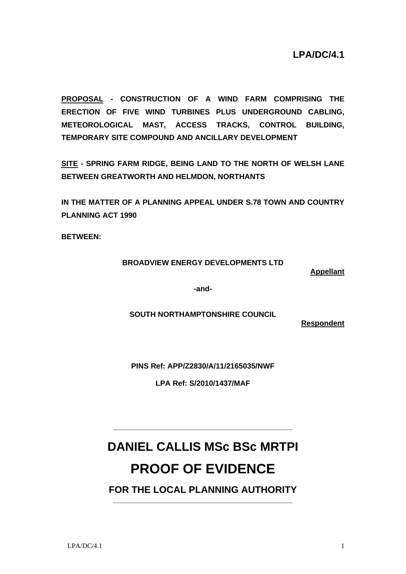**PROPOSAL - CONSTRUCTION OF A WIND FARM COMPRISING THE ERECTION OF FIVE WIND TURBINES PLUS UNDERGROUND CABLING, METEOROLOGICAL MAST, ACCESS TRACKS, CONTROL BUILDING, TEMPORARY SITE COMPOUND AND ANCILLARY DEVELOPMENT** 

**SITE - SPRING FARM RIDGE, BEING LAND TO THE NORTH OF WELSH LANE BETWEEN GREATWORTH AND HELMDON, NORTHANTS** 

**IN THE MATTER OF A PLANNING APPEAL UNDER S.78 TOWN AND COUNTRY PLANNING ACT 1990** 

**BETWEEN:** 

# **BROADVIEW ENERGY DEVELOPMENTS LTD**

**Appellant**

**-and-**

**SOUTH NORTHAMPTONSHIRE COUNCIL** 

**Respondent**

**PINS Ref: APP/Z2830/A/11/2165035/NWF** 

**LPA Ref: S/2010/1437/MAF**

# **DANIEL CALLIS MSc BSc MRTPI PROOF OF EVIDENCE**

**\_\_\_\_\_\_\_\_\_\_\_\_\_\_\_\_\_\_\_\_\_\_\_\_\_\_\_\_\_\_\_\_\_\_\_\_\_\_\_\_\_\_\_** 

**FOR THE LOCAL PLANNING AUTHORITY \_\_\_\_\_\_\_\_\_\_\_\_\_\_\_\_\_\_\_\_\_\_\_\_\_\_\_\_\_\_\_\_\_\_\_\_\_\_\_\_\_\_\_**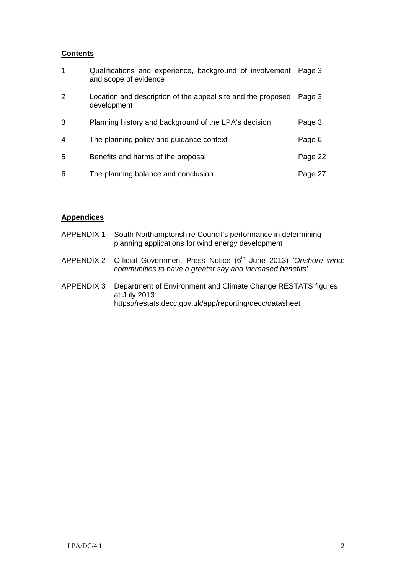## **Contents**

| 1              | Qualifications and experience, background of involvement Page 3<br>and scope of evidence |         |
|----------------|------------------------------------------------------------------------------------------|---------|
| 2              | Location and description of the appeal site and the proposed<br>development              | Page 3  |
| 3              | Planning history and background of the LPA's decision                                    | Page 3  |
| $\overline{4}$ | The planning policy and guidance context                                                 | Page 6  |
| 5              | Benefits and harms of the proposal                                                       | Page 22 |
| 6              | The planning balance and conclusion                                                      | Page 27 |

# **Appendices**

| APPENDIX 1 | South Northamptonshire Council's performance in determining |
|------------|-------------------------------------------------------------|
|            | planning applications for wind energy development           |

- APPENDIX 2 Official Government Press Notice (6<sup>th</sup> June 2013) 'Onshore wind: *communities to have a greater say and increased benefits'*
- APPENDIX 3 Department of Environment and Climate Change RESTATS figures at July 2013: https://restats.decc.gov.uk/app/reporting/decc/datasheet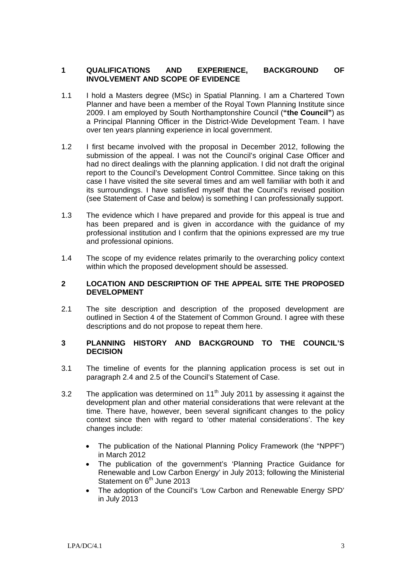## **1 QUALIFICATIONS AND EXPERIENCE, BACKGROUND OF INVOLVEMENT AND SCOPE OF EVIDENCE**

- 1.1 I hold a Masters degree (MSc) in Spatial Planning. I am a Chartered Town Planner and have been a member of the Royal Town Planning Institute since 2009. I am employed by South Northamptonshire Council (**"the Council"**) as a Principal Planning Officer in the District-Wide Development Team. I have over ten years planning experience in local government.
- 1.2 I first became involved with the proposal in December 2012, following the submission of the appeal. I was not the Council's original Case Officer and had no direct dealings with the planning application. I did not draft the original report to the Council's Development Control Committee. Since taking on this case I have visited the site several times and am well familiar with both it and its surroundings. I have satisfied myself that the Council's revised position (see Statement of Case and below) is something I can professionally support.
- 1.3 The evidence which I have prepared and provide for this appeal is true and has been prepared and is given in accordance with the guidance of my professional institution and I confirm that the opinions expressed are my true and professional opinions.
- 1.4 The scope of my evidence relates primarily to the overarching policy context within which the proposed development should be assessed.

#### **2 LOCATION AND DESCRIPTION OF THE APPEAL SITE THE PROPOSED DEVELOPMENT**

2.1 The site description and description of the proposed development are outlined in Section 4 of the Statement of Common Ground. I agree with these descriptions and do not propose to repeat them here.

## **3 PLANNING HISTORY AND BACKGROUND TO THE COUNCIL'S DECISION**

- 3.1 The timeline of events for the planning application process is set out in paragraph 2.4 and 2.5 of the Council's Statement of Case.
- 3.2 The application was determined on  $11<sup>th</sup>$  July 2011 by assessing it against the development plan and other material considerations that were relevant at the time. There have, however, been several significant changes to the policy context since then with regard to 'other material considerations'. The key changes include:
	- The publication of the National Planning Policy Framework (the "NPPF") in March 2012
	- The publication of the government's 'Planning Practice Guidance for Renewable and Low Carbon Energy' in July 2013; following the Ministerial Statement on 6<sup>th</sup> June 2013
	- The adoption of the Council's 'Low Carbon and Renewable Energy SPD' in July 2013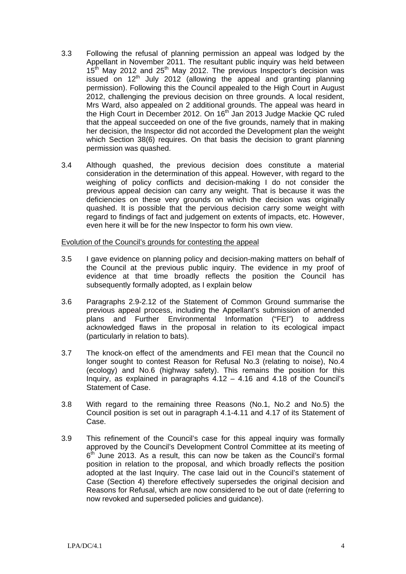- 3.3 Following the refusal of planning permission an appeal was lodged by the Appellant in November 2011. The resultant public inquiry was held between  $15<sup>th</sup>$  May 2012 and 25<sup>th</sup> May 2012. The previous Inspector's decision was issued on  $12<sup>th</sup>$  July 2012 (allowing the appeal and granting planning permission). Following this the Council appealed to the High Court in August 2012, challenging the previous decision on three grounds. A local resident, Mrs Ward, also appealed on 2 additional grounds. The appeal was heard in the High Court in December 2012. On 16<sup>th</sup> Jan 2013 Judge Mackie QC ruled that the appeal succeeded on one of the five grounds, namely that in making her decision, the Inspector did not accorded the Development plan the weight which Section 38(6) requires. On that basis the decision to grant planning permission was quashed.
- 3.4 Although quashed, the previous decision does constitute a material consideration in the determination of this appeal. However, with regard to the weighing of policy conflicts and decision-making I do not consider the previous appeal decision can carry any weight. That is because it was the deficiencies on these very grounds on which the decision was originally quashed. It is possible that the pervious decision carry some weight with regard to findings of fact and judgement on extents of impacts, etc. However, even here it will be for the new Inspector to form his own view.

#### Evolution of the Council's grounds for contesting the appeal

- 3.5 I gave evidence on planning policy and decision-making matters on behalf of the Council at the previous public inquiry. The evidence in my proof of evidence at that time broadly reflects the position the Council has subsequently formally adopted, as I explain below
- 3.6 Paragraphs 2.9-2.12 of the Statement of Common Ground summarise the previous appeal process, including the Appellant's submission of amended plans and Further Environmental Information ("FEI") to address acknowledged flaws in the proposal in relation to its ecological impact (particularly in relation to bats).
- 3.7 The knock-on effect of the amendments and FEI mean that the Council no longer sought to contest Reason for Refusal No.3 (relating to noise), No.4 (ecology) and No.6 (highway safety). This remains the position for this Inquiry, as explained in paragraphs 4.12 – 4.16 and 4.18 of the Council's Statement of Case.
- 3.8 With regard to the remaining three Reasons (No.1, No.2 and No.5) the Council position is set out in paragraph 4.1-4.11 and 4.17 of its Statement of Case.
- 3.9 This refinement of the Council's case for this appeal inquiry was formally approved by the Council's Development Control Committee at its meeting of  $6<sup>th</sup>$  June 2013. As a result, this can now be taken as the Council's formal position in relation to the proposal, and which broadly reflects the position adopted at the last Inquiry. The case laid out in the Council's statement of Case (Section 4) therefore effectively supersedes the original decision and Reasons for Refusal, which are now considered to be out of date (referring to now revoked and superseded policies and guidance).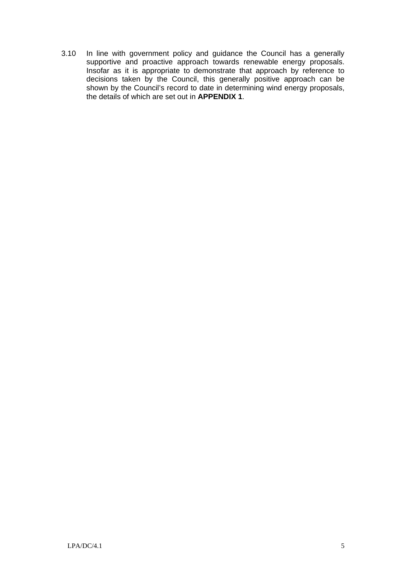3.10 In line with government policy and guidance the Council has a generally supportive and proactive approach towards renewable energy proposals. Insofar as it is appropriate to demonstrate that approach by reference to decisions taken by the Council, this generally positive approach can be shown by the Council's record to date in determining wind energy proposals, the details of which are set out in **APPENDIX 1**.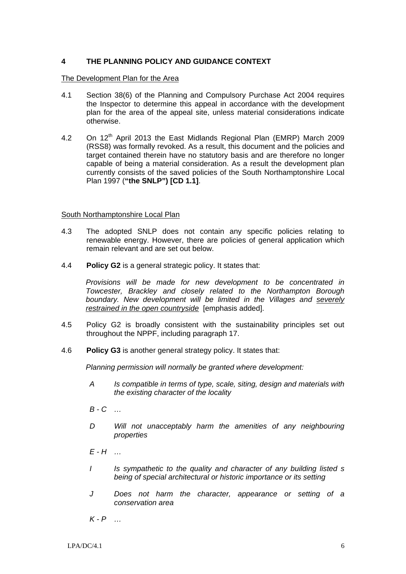# **4 THE PLANNING POLICY AND GUIDANCE CONTEXT**

## The Development Plan for the Area

- 4.1 Section 38(6) of the Planning and Compulsory Purchase Act 2004 requires the Inspector to determine this appeal in accordance with the development plan for the area of the appeal site, unless material considerations indicate otherwise.
- 4.2 On 12<sup>th</sup> April 2013 the East Midlands Regional Plan (EMRP) March 2009 (RSS8) was formally revoked. As a result, this document and the policies and target contained therein have no statutory basis and are therefore no longer capable of being a material consideration. As a result the development plan currently consists of the saved policies of the South Northamptonshire Local Plan 1997 (**"the SNLP") [CD 1.1]**.

## South Northamptonshire Local Plan

- 4.3 The adopted SNLP does not contain any specific policies relating to renewable energy. However, there are policies of general application which remain relevant and are set out below.
- 4.4 **Policy G2** is a general strategic policy. It states that:

*Provisions will be made for new development to be concentrated in Towcester, Brackley and closely related to the Northampton Borough boundary. New development will be limited in the Villages and severely restrained in the open countryside* [emphasis added].

- 4.5 Policy G2 is broadly consistent with the sustainability principles set out throughout the NPPF, including paragraph 17.
- 4.6 **Policy G3** is another general strategy policy. It states that:

*Planning permission will normally be granted where development:* 

- *A Is compatible in terms of type, scale, siting, design and materials with the existing character of the locality*
- *B C …*
- *D Will not unacceptably harm the amenities of any neighbouring properties*
- *E H …*
- *I Is sympathetic to the quality and character of any building listed s being of special architectural or historic importance or its setting*
- *J Does not harm the character, appearance or setting of a conservation area*

*K - P …*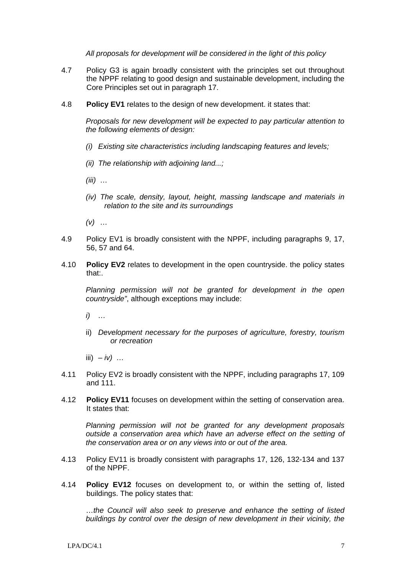*All proposals for development will be considered in the light of this policy* 

- 4.7 Policy G3 is again broadly consistent with the principles set out throughout the NPPF relating to good design and sustainable development, including the Core Principles set out in paragraph 17.
- 4.8 **Policy EV1** relates to the design of new development. it states that:

*Proposals for new development will be expected to pay particular attention to the following elements of design:* 

- *(i) Existing site characteristics including landscaping features and levels;*
- *(ii) The relationship with adjoining land...;*
- *(iii) …*
- *(iv) The scale, density, layout, height, massing landscape and materials in relation to the site and its surroundings*
- *(v) …*
- 4.9 Policy EV1 is broadly consistent with the NPPF, including paragraphs 9, 17, 56, 57 and 64.
- 4.10 **Policy EV2** relates to development in the open countryside. the policy states that:.

*Planning permission will not be granted for development in the open countryside"*, although exceptions may include:

- *i) …*
- ii) *Development necessary for the purposes of agriculture, forestry, tourism or recreation*
- iii)  $-iv$ ) …
- 4.11 Policy EV2 is broadly consistent with the NPPF, including paragraphs 17, 109 and 111.
- 4.12 **Policy EV11** focuses on development within the setting of conservation area. It states that:

*Planning permission will not be granted for any development proposals outside a conservation area which have an adverse effect on the setting of the conservation area or on any views into or out of the area.* 

- 4.13 Policy EV11 is broadly consistent with paragraphs 17, 126, 132-134 and 137 of the NPPF.
- 4.14 **Policy EV12** focuses on development to, or within the setting of, listed buildings. The policy states that:

…*the Council will also seek to preserve and enhance the setting of listed buildings by control over the design of new development in their vicinity, the*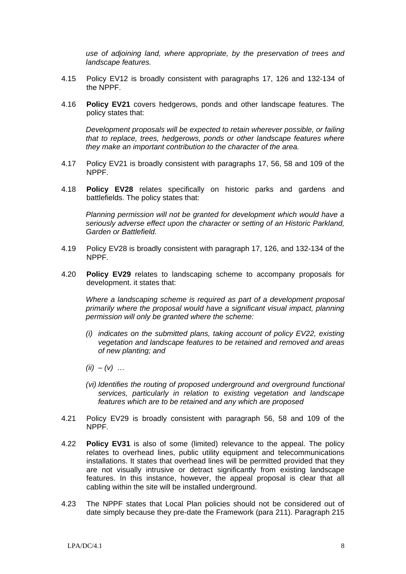*use of adjoining land, where appropriate, by the preservation of trees and landscape features.*

- 4.15 Policy EV12 is broadly consistent with paragraphs 17, 126 and 132-134 of the NPPF.
- 4.16 **Policy EV21** covers hedgerows, ponds and other landscape features. The policy states that:

*Development proposals will be expected to retain wherever possible, or failing that to replace, trees, hedgerows, ponds or other landscape features where they make an important contribution to the character of the area.* 

- 4.17 Policy EV21 is broadly consistent with paragraphs 17, 56, 58 and 109 of the NPPF.
- 4.18 **Policy EV28** relates specifically on historic parks and gardens and battlefields. The policy states that:

*Planning permission will not be granted for development which would have a seriously adverse effect upon the character or setting of an Historic Parkland, Garden or Battlefield.*

- 4.19 Policy EV28 is broadly consistent with paragraph 17, 126, and 132-134 of the NPPF.
- 4.20 **Policy EV29** relates to landscaping scheme to accompany proposals for development. it states that:

*Where a landscaping scheme is required as part of a development proposal primarily where the proposal would have a significant visual impact, planning permission will only be granted where the scheme:* 

- *(i) indicates on the submitted plans, taking account of policy EV22, existing vegetation and landscape features to be retained and removed and areas of new planting; and*
- *(ii) (v) …*
- *(vi) Identifies the routing of proposed underground and overground functional services, particularly in relation to existing vegetation and landscape features which are to be retained and any which are proposed*
- 4.21 Policy EV29 is broadly consistent with paragraph 56, 58 and 109 of the NPPF.
- 4.22 **Policy EV31** is also of some (limited) relevance to the appeal. The policy relates to overhead lines, public utility equipment and telecommunications installations. It states that overhead lines will be permitted provided that they are not visually intrusive or detract significantly from existing landscape features. In this instance, however, the appeal proposal is clear that all cabling within the site will be installed underground.
- 4.23 The NPPF states that Local Plan policies should not be considered out of date simply because they pre-date the Framework (para 211). Paragraph 215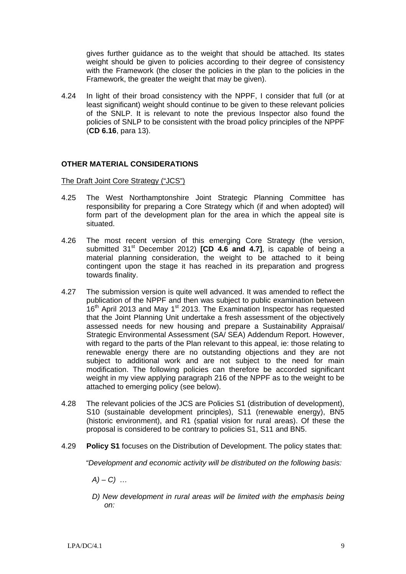gives further guidance as to the weight that should be attached. Its states weight should be given to policies according to their degree of consistency with the Framework (the closer the policies in the plan to the policies in the Framework, the greater the weight that may be given).

4.24 In light of their broad consistency with the NPPF, I consider that full (or at least significant) weight should continue to be given to these relevant policies of the SNLP. It is relevant to note the previous Inspector also found the policies of SNLP to be consistent with the broad policy principles of the NPPF (**CD 6.16**, para 13).

# **OTHER MATERIAL CONSIDERATIONS**

## The Draft Joint Core Strategy ("JCS")

- 4.25 The West Northamptonshire Joint Strategic Planning Committee has responsibility for preparing a Core Strategy which (if and when adopted) will form part of the development plan for the area in which the appeal site is situated.
- 4.26 The most recent version of this emerging Core Strategy (the version, submitted 31<sup>st</sup> December 2012) **[CD 4.6 and 4.7]**, is capable of being a material planning consideration, the weight to be attached to it being contingent upon the stage it has reached in its preparation and progress towards finality.
- 4.27 The submission version is quite well advanced. It was amended to reflect the publication of the NPPF and then was subject to public examination between 16<sup>th</sup> April 2013 and May 1<sup>st</sup> 2013. The Examination Inspector has requested that the Joint Planning Unit undertake a fresh assessment of the objectively assessed needs for new housing and prepare a Sustainability Appraisal/ Strategic Environmental Assessment (SA/ SEA) Addendum Report. However, with regard to the parts of the Plan relevant to this appeal, ie: those relating to renewable energy there are no outstanding objections and they are not subject to additional work and are not subject to the need for main modification. The following policies can therefore be accorded significant weight in my view applying paragraph 216 of the NPPF as to the weight to be attached to emerging policy (see below).
- 4.28 The relevant policies of the JCS are Policies S1 (distribution of development), S10 (sustainable development principles), S11 (renewable energy), BN5 (historic environment), and R1 (spatial vision for rural areas). Of these the proposal is considered to be contrary to policies S1, S11 and BN5.
- 4.29 **Policy S1** focuses on the Distribution of Development. The policy states that:

*"Development and economic activity will be distributed on the following basis:* 

*A) – C) …* 

*D)* New development in rural areas will be limited with the emphasis being *on:*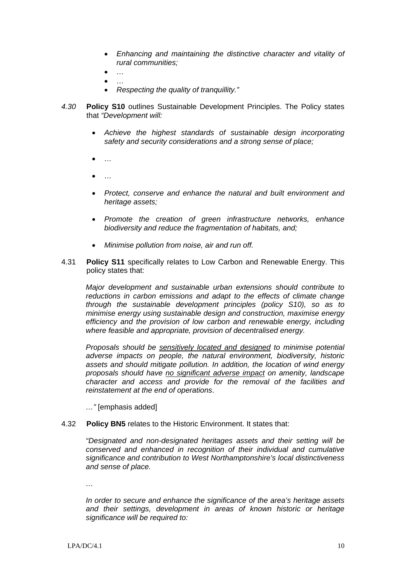- *Enhancing and maintaining the distinctive character and vitality of rural communities;*
- *…*
- *…*
- *Respecting the quality of tranquillity."*
- *4.30* **Policy S10** outlines Sustainable Development Principles. The Policy states that *"Development will:* 
	- *Achieve the highest standards of sustainable design incorporating safety and security considerations and a strong sense of place;*
	- *…*
	- *…*
	- *Protect, conserve and enhance the natural and built environment and heritage assets;*
	- *Promote the creation of green infrastructure networks, enhance biodiversity and reduce the fragmentation of habitats, and;*
	- *Minimise pollution from noise, air and run off.*
- 4.31 **Policy S11** specifically relates to Low Carbon and Renewable Energy. This policy states that:

*Major development and sustainable urban extensions should contribute to reductions in carbon emissions and adapt to the effects of climate change through the sustainable development principles (policy S10), so as to minimise energy using sustainable design and construction, maximise energy efficiency and the provision of low carbon and renewable energy, including where feasible and appropriate, provision of decentralised energy.* 

*Proposals should be sensitively located and designed to minimise potential adverse impacts on people, the natural environment, biodiversity, historic assets and should mitigate pollution. In addition, the location of wind energy proposals should have no significant adverse impact on amenity, landscape character and access and provide for the removal of the facilities and reinstatement at the end of operations*.

*…"* [emphasis added]

#### 4.32 **Policy BN5** relates to the Historic Environment. It states that:

*"Designated and non-designated heritages assets and their setting will be conserved and enhanced in recognition of their individual and cumulative significance and contribution to West Northamptonshire's local distinctiveness and sense of place.* 

*…* 

*In order to secure and enhance the significance of the area's heritage assets and their settings, development in areas of known historic or heritage significance will be required to:*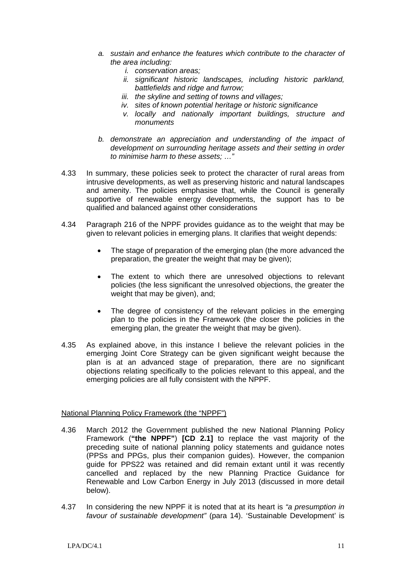- *a. sustain and enhance the features which contribute to the character of the area including:* 
	- *i. conservation areas;*
	- *ii. significant historic landscapes, including historic parkland, battlefields and ridge and furrow;*
	- *iii. the skyline and setting of towns and villages;*
	- *iv. sites of known potential heritage or historic significance*
	- *v. locally and nationally important buildings, structure and monuments*
- *b. demonstrate an appreciation and understanding of the impact of development on surrounding heritage assets and their setting in order to minimise harm to these assets; …"*
- 4.33 In summary, these policies seek to protect the character of rural areas from intrusive developments, as well as preserving historic and natural landscapes and amenity. The policies emphasise that, while the Council is generally supportive of renewable energy developments, the support has to be qualified and balanced against other considerations
- 4.34 Paragraph 216 of the NPPF provides guidance as to the weight that may be given to relevant policies in emerging plans. It clarifies that weight depends:
	- The stage of preparation of the emerging plan (the more advanced the preparation, the greater the weight that may be given);
	- The extent to which there are unresolved objections to relevant policies (the less significant the unresolved objections, the greater the weight that may be given), and;
	- The degree of consistency of the relevant policies in the emerging plan to the policies in the Framework (the closer the policies in the emerging plan, the greater the weight that may be given).
- 4.35 As explained above, in this instance I believe the relevant policies in the emerging Joint Core Strategy can be given significant weight because the plan is at an advanced stage of preparation, there are no significant objections relating specifically to the policies relevant to this appeal, and the emerging policies are all fully consistent with the NPPF.

# National Planning Policy Framework (the "NPPF")

- 4.36 March 2012 the Government published the new National Planning Policy Framework (**"the NPPF"**) **[CD 2.1]** to replace the vast majority of the preceding suite of national planning policy statements and guidance notes (PPSs and PPGs, plus their companion guides). However, the companion guide for PPS22 was retained and did remain extant until it was recently cancelled and replaced by the new Planning Practice Guidance for Renewable and Low Carbon Energy in July 2013 (discussed in more detail below).
- 4.37 In considering the new NPPF it is noted that at its heart is *"a presumption in favour of sustainable development"* (para 14). 'Sustainable Development' is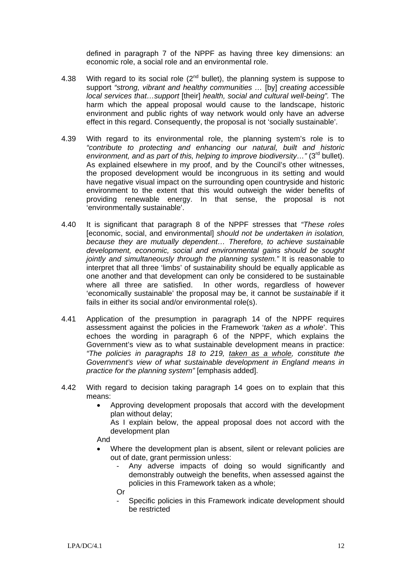defined in paragraph 7 of the NPPF as having three key dimensions: an economic role, a social role and an environmental role.

- 4.38 With regard to its social role  $(2^{nd}$  bullet), the planning system is suppose to support *"strong, vibrant and healthy communities …* [by] *creating accessible local services that…support* [their] *health, social and cultural well-being".* The harm which the appeal proposal would cause to the landscape, historic environment and public rights of way network would only have an adverse effect in this regard. Consequently, the proposal is not 'socially sustainable'.
- 4.39 With regard to its environmental role, the planning system's role is to *"contribute to protecting and enhancing our natural, built and historic environment, and as part of this, helping to improve biodiversity...*" (3<sup>rd</sup> bullet). As explained elsewhere in my proof, and by the Council's other witnesses, the proposed development would be incongruous in its setting and would have negative visual impact on the surrounding open countryside and historic environment to the extent that this would outweigh the wider benefits of providing renewable energy. In that sense, the proposal is not 'environmentally sustainable'.
- 4.40 It is significant that paragraph 8 of the NPPF stresses that *"These roles* [economic, social, and environmental] *should not be undertaken in isolation, because they are mutually dependent… Therefore, to achieve sustainable development, economic, social and environmental gains should be sought jointly and simultaneously through the planning system."* It is reasonable to interpret that all three 'limbs' of sustainability should be equally applicable as one another and that development can only be considered to be sustainable where all three are satisfied. In other words, regardless of however 'economically sustainable' the proposal may be, it cannot be *sustainable* if it fails in either its social and/or environmental role(s).
- 4.41 Application of the presumption in paragraph 14 of the NPPF requires assessment against the policies in the Framework '*taken as a whole*'. This echoes the wording in paragraph 6 of the NPPF, which explains the Government's view as to what sustainable development means in practice: *"The policies in paragraphs 18 to 219, taken as a whole, constitute the Government's view of what sustainable development in England means in practice for the planning system"* [emphasis added].
- 4.42 With regard to decision taking paragraph 14 goes on to explain that this means:
	- Approving development proposals that accord with the development plan without delay;

As I explain below, the appeal proposal does not accord with the development plan

And

- Where the development plan is absent, silent or relevant policies are out of date, grant permission unless:
	- Any adverse impacts of doing so would significantly and demonstrably outweigh the benefits, when assessed against the policies in this Framework taken as a whole;
	- Or
	- Specific policies in this Framework indicate development should be restricted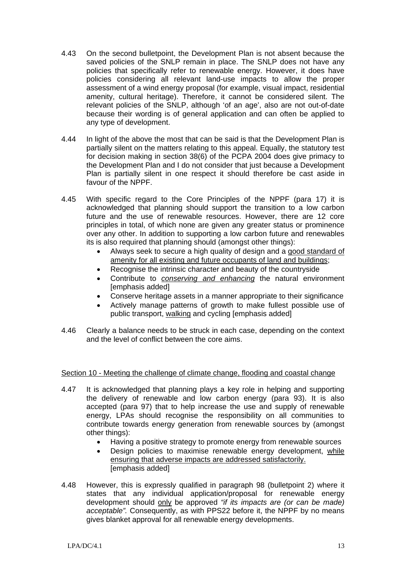- 4.43 On the second bulletpoint, the Development Plan is not absent because the saved policies of the SNLP remain in place. The SNLP does not have any policies that specifically refer to renewable energy. However, it does have policies considering all relevant land-use impacts to allow the proper assessment of a wind energy proposal (for example, visual impact, residential amenity, cultural heritage). Therefore, it cannot be considered silent. The relevant policies of the SNLP, although 'of an age', also are not out-of-date because their wording is of general application and can often be applied to any type of development.
- 4.44 In light of the above the most that can be said is that the Development Plan is partially silent on the matters relating to this appeal. Equally, the statutory test for decision making in section 38(6) of the PCPA 2004 does give primacy to the Development Plan and I do not consider that just because a Development Plan is partially silent in one respect it should therefore be cast aside in favour of the NPPF.
- 4.45 With specific regard to the Core Principles of the NPPF (para 17) it is acknowledged that planning should support the transition to a low carbon future and the use of renewable resources. However, there are 12 core principles in total, of which none are given any greater status or prominence over any other. In addition to supporting a low carbon future and renewables its is also required that planning should (amongst other things):
	- Always seek to secure a high quality of design and a good standard of amenity for all existing and future occupants of land and buildings;
	- Recognise the intrinsic character and beauty of the countryside
	- Contribute to *conserving and enhancing* the natural environment [emphasis added]
	- Conserve heritage assets in a manner appropriate to their significance
	- Actively manage patterns of growth to make fullest possible use of public transport, walking and cycling [emphasis added]
- 4.46 Clearly a balance needs to be struck in each case, depending on the context and the level of conflict between the core aims.

# Section 10 - Meeting the challenge of climate change, flooding and coastal change

- 4.47 It is acknowledged that planning plays a key role in helping and supporting the delivery of renewable and low carbon energy (para 93). It is also accepted (para 97) that to help increase the use and supply of renewable energy, LPAs should recognise the responsibility on all communities to contribute towards energy generation from renewable sources by (amongst other things):
	- Having a positive strategy to promote energy from renewable sources
	- Design policies to maximise renewable energy development, while ensuring that adverse impacts are addressed satisfactorily. [emphasis added]
- 4.48 However, this is expressly qualified in paragraph 98 (bulletpoint 2) where it states that any individual application/proposal for renewable energy development should only be approved *"if its impacts are (or can be made) acceptable".* Consequently, as with PPS22 before it, the NPPF by no means gives blanket approval for all renewable energy developments.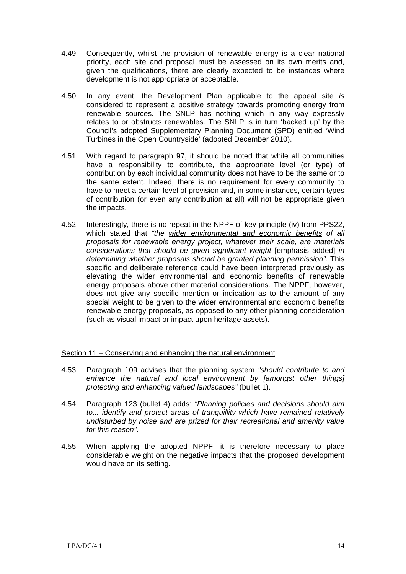- 4.49 Consequently, whilst the provision of renewable energy is a clear national priority, each site and proposal must be assessed on its own merits and, given the qualifications, there are clearly expected to be instances where development is not appropriate or acceptable.
- 4.50 In any event, the Development Plan applicable to the appeal site *is* considered to represent a positive strategy towards promoting energy from renewable sources. The SNLP has nothing which in any way expressly relates to or obstructs renewables. The SNLP is in turn 'backed up' by the Council's adopted Supplementary Planning Document (SPD) entitled 'Wind Turbines in the Open Countryside' (adopted December 2010).
- 4.51 With regard to paragraph 97, it should be noted that while all communities have a responsibility to contribute, the appropriate level (or type) of contribution by each individual community does not have to be the same or to the same extent. Indeed, there is no requirement for every community to have to meet a certain level of provision and, in some instances, certain types of contribution (or even any contribution at all) will not be appropriate given the impacts.
- 4.52 Interestingly, there is no repeat in the NPPF of key principle (iv) from PPS22, which stated that *"the wider environmental and economic benefits of all proposals for renewable energy project, whatever their scale, are materials considerations that should be given significant weight* [emphasis added] *in determining whether proposals should be granted planning permission".* This specific and deliberate reference could have been interpreted previously as elevating the wider environmental and economic benefits of renewable energy proposals above other material considerations. The NPPF, however, does not give any specific mention or indication as to the amount of any special weight to be given to the wider environmental and economic benefits renewable energy proposals, as opposed to any other planning consideration (such as visual impact or impact upon heritage assets).

# Section 11 – Conserving and enhancing the natural environment

- 4.53 Paragraph 109 advises that the planning system *"should contribute to and enhance the natural and local environment by [amongst other things] protecting and enhancing valued landscapes"* (bullet 1).
- 4.54 Paragraph 123 (bullet 4) adds: *"Planning policies and decisions should aim*  to... identify and protect areas of tranquillity which have remained relatively *undisturbed by noise and are prized for their recreational and amenity value for this reason"*.
- 4.55 When applying the adopted NPPF, it is therefore necessary to place considerable weight on the negative impacts that the proposed development would have on its setting.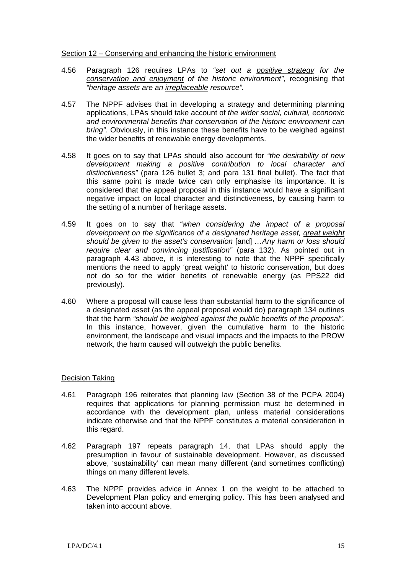#### Section 12 – Conserving and enhancing the historic environment

- 4.56 Paragraph 126 requires LPAs to *"set out a positive strategy for the conservation and enjoyment of the historic environment"*, recognising that *"heritage assets are an irreplaceable resource".*
- 4.57 The NPPF advises that in developing a strategy and determining planning applications, LPAs should take account of *the wider social, cultural, economic and environmental benefits that conservation of the historic environment can bring".* Obviously, in this instance these benefits have to be weighed against the wider benefits of renewable energy developments.
- 4.58 It goes on to say that LPAs should also account for *"the desirability of new development making a positive contribution to local character and distinctiveness"* (para 126 bullet 3; and para 131 final bullet). The fact that this same point is made twice can only emphasise its importance. It is considered that the appeal proposal in this instance would have a significant negative impact on local character and distinctiveness, by causing harm to the setting of a number of heritage assets.
- 4.59 It goes on to say that *"when considering the impact of a proposal development on the significance of a designated heritage asset, great weight should be given to the asset's conservation* [and] *…Any harm or loss should require clear and convincing justification"* (para 132). As pointed out in paragraph 4.43 above, it is interesting to note that the NPPF specifically mentions the need to apply 'great weight' to historic conservation, but does not do so for the wider benefits of renewable energy (as PPS22 did previously).
- 4.60 Where a proposal will cause less than substantial harm to the significance of a designated asset (as the appeal proposal would do) paragraph 134 outlines that the harm *"should be weighed against the public benefits of the proposal".*  In this instance, however, given the cumulative harm to the historic environment, the landscape and visual impacts and the impacts to the PROW network, the harm caused will outweigh the public benefits.

#### Decision Taking

- 4.61 Paragraph 196 reiterates that planning law (Section 38 of the PCPA 2004) requires that applications for planning permission must be determined in accordance with the development plan, unless material considerations indicate otherwise and that the NPPF constitutes a material consideration in this regard.
- 4.62 Paragraph 197 repeats paragraph 14, that LPAs should apply the presumption in favour of sustainable development. However, as discussed above, 'sustainability' can mean many different (and sometimes conflicting) things on many different levels.
- 4.63 The NPPF provides advice in Annex 1 on the weight to be attached to Development Plan policy and emerging policy. This has been analysed and taken into account above.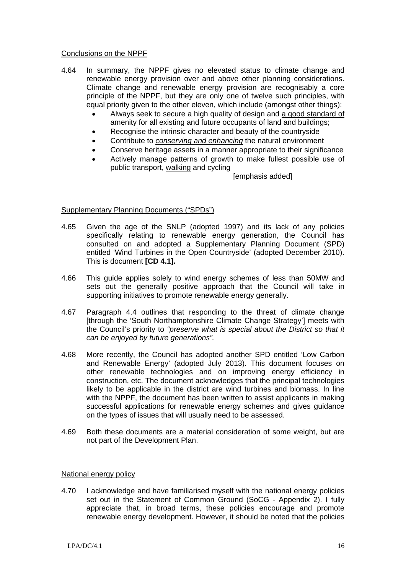#### Conclusions on the NPPF

- 4.64 In summary, the NPPF gives no elevated status to climate change and renewable energy provision over and above other planning considerations. Climate change and renewable energy provision are recognisably a core principle of the NPPF, but they are only one of twelve such principles, with equal priority given to the other eleven, which include (amongst other things):
	- Always seek to secure a high quality of design and a good standard of amenity for all existing and future occupants of land and buildings;
	- Recognise the intrinsic character and beauty of the countryside
	- Contribute to *conserving and enhancing* the natural environment
	- Conserve heritage assets in a manner appropriate to their significance
	- Actively manage patterns of growth to make fullest possible use of public transport, walking and cycling

[emphasis added]

## Supplementary Planning Documents ("SPDs")

- 4.65 Given the age of the SNLP (adopted 1997) and its lack of any policies specifically relating to renewable energy generation, the Council has consulted on and adopted a Supplementary Planning Document (SPD) entitled 'Wind Turbines in the Open Countryside' (adopted December 2010). This is document **[CD 4.1].**
- 4.66 This guide applies solely to wind energy schemes of less than 50MW and sets out the generally positive approach that the Council will take in supporting initiatives to promote renewable energy generally.
- 4.67 Paragraph 4.4 outlines that responding to the threat of climate change [through the 'South Northamptonshire Climate Change Strategy'] meets with the Council's priority to *"preserve what is special about the District so that it can be enjoyed by future generations".*
- 4.68 More recently, the Council has adopted another SPD entitled 'Low Carbon and Renewable Energy' (adopted July 2013). This document focuses on other renewable technologies and on improving energy efficiency in construction, etc. The document acknowledges that the principal technologies likely to be applicable in the district are wind turbines and biomass. In line with the NPPF, the document has been written to assist applicants in making successful applications for renewable energy schemes and gives guidance on the types of issues that will usually need to be assessed.
- 4.69 Both these documents are a material consideration of some weight, but are not part of the Development Plan.

#### National energy policy

4.70 I acknowledge and have familiarised myself with the national energy policies set out in the Statement of Common Ground (SoCG - Appendix 2). I fully appreciate that, in broad terms, these policies encourage and promote renewable energy development. However, it should be noted that the policies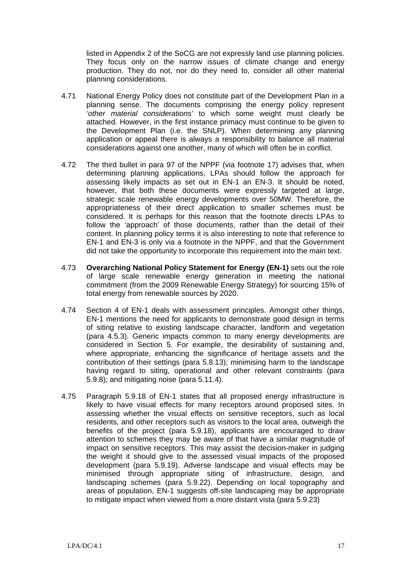listed in Appendix 2 of the SoCG are not expressly land use planning policies. They focus only on the narrow issues of climate change and energy production. They do not, nor do they need to, consider all other material planning considerations.

- 4.71 National Energy Policy does not constitute part of the Development Plan in a planning sense. The documents comprising the energy policy represent '*other material considerations'* to which some weight must clearly be attached. However, in the first instance primacy must continue to be given to the Development Plan (i.e. the SNLP). When determining any planning application or appeal there is always a responsibility to balance all material considerations against one another, many of which will often be in conflict.
- 4.72 The third bullet in para 97 of the NPPF (via footnote 17) advises that, when determining planning applications, LPAs should follow the approach for assessing likely impacts as set out in EN-1 an EN-3. It should be noted, however, that both these documents were expressly targeted at large, strategic scale renewable energy developments over 50MW. Therefore, the appropriateness of their direct application to smaller schemes must be considered. It is perhaps for this reason that the footnote directs LPAs to follow the 'approach' of those documents, rather than the detail of their content. In planning policy terms it is also interesting to note that reference to EN-1 and EN-3 is only via a footnote in the NPPF, and that the Government did not take the opportunity to incorporate this requirement into the main text.
- 4.73 **Overarching National Policy Statement for Energy (EN-1)** sets out the role of large scale renewable energy generation in meeting the national commitment (from the 2009 Renewable Energy Strategy) for sourcing 15% of total energy from renewable sources by 2020.
- 4.74 Section 4 of EN-1 deals with assessment principles. Amongst other things, EN-1 mentions the need for applicants to demonstrate good design in terms of siting relative to existing landscape character, landform and vegetation (para 4.5.3). Generic impacts common to many energy developments are considered in Section 5. For example, the desirability of sustaining and, where appropriate, enhancing the significance of heritage assets and the contribution of their settings (para 5.8.13); minimising harm to the landscape having regard to siting, operational and other relevant constraints (para 5.9.8); and mitigating noise (para 5.11.4).
- 4.75 Paragraph 5.9.18 of EN-1 states that all proposed energy infrastructure is likely to have visual effects for many receptors around proposed sites. In assessing whether the visual effects on sensitive receptors, such as local residents, and other receptors such as visitors to the local area, outweigh the benefits of the project (para 5.9.18), applicants are encouraged to draw attention to schemes they may be aware of that have a similar magnitude of impact on sensitive receptors. This may assist the decision-maker in judging the weight it should give to the assessed visual impacts of the proposed development (para 5.9.19). Adverse landscape and visual effects may be minimised through appropriate siting of infrastructure, design, and landscaping schemes (para 5.9.22). Depending on local topography and areas of population, EN-1 suggests off-site landscaping may be appropriate to mitigate impact when viewed from a more distant vista (para 5.9.23)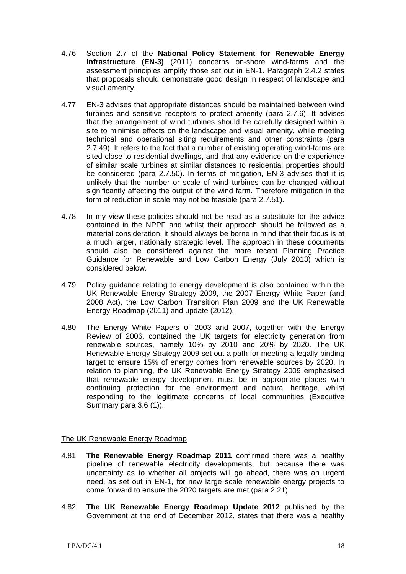- 4.76 Section 2.7 of the **National Policy Statement for Renewable Energy Infrastructure (EN-3)** (2011) concerns on-shore wind-farms and the assessment principles amplify those set out in EN-1. Paragraph 2.4.2 states that proposals should demonstrate good design in respect of landscape and visual amenity.
- 4.77 EN-3 advises that appropriate distances should be maintained between wind turbines and sensitive receptors to protect amenity (para 2.7.6). It advises that the arrangement of wind turbines should be carefully designed within a site to minimise effects on the landscape and visual amenity, while meeting technical and operational siting requirements and other constraints (para 2.7.49). It refers to the fact that a number of existing operating wind-farms are sited close to residential dwellings, and that any evidence on the experience of similar scale turbines at similar distances to residential properties should be considered (para 2.7.50). In terms of mitigation, EN-3 advises that it is unlikely that the number or scale of wind turbines can be changed without significantly affecting the output of the wind farm. Therefore mitigation in the form of reduction in scale may not be feasible (para 2.7.51).
- 4.78 In my view these policies should not be read as a substitute for the advice contained in the NPPF and whilst their approach should be followed as a material consideration, it should always be borne in mind that their focus is at a much larger, nationally strategic level. The approach in these documents should also be considered against the more recent Planning Practice Guidance for Renewable and Low Carbon Energy (July 2013) which is considered below.
- 4.79 Policy guidance relating to energy development is also contained within the UK Renewable Energy Strategy 2009, the 2007 Energy White Paper (and 2008 Act), the Low Carbon Transition Plan 2009 and the UK Renewable Energy Roadmap (2011) and update (2012).
- 4.80 The Energy White Papers of 2003 and 2007, together with the Energy Review of 2006, contained the UK targets for electricity generation from renewable sources, namely 10% by 2010 and 20% by 2020. The UK Renewable Energy Strategy 2009 set out a path for meeting a legally-binding target to ensure 15% of energy comes from renewable sources by 2020. In relation to planning, the UK Renewable Energy Strategy 2009 emphasised that renewable energy development must be in appropriate places with continuing protection for the environment and natural heritage, whilst responding to the legitimate concerns of local communities (Executive Summary para 3.6 (1)).

# The UK Renewable Energy Roadmap

- 4.81 **The Renewable Energy Roadmap 2011** confirmed there was a healthy pipeline of renewable electricity developments, but because there was uncertainty as to whether all projects will go ahead, there was an urgent need, as set out in EN-1, for new large scale renewable energy projects to come forward to ensure the 2020 targets are met (para 2.21).
- 4.82 **The UK Renewable Energy Roadmap Update 2012** published by the Government at the end of December 2012, states that there was a healthy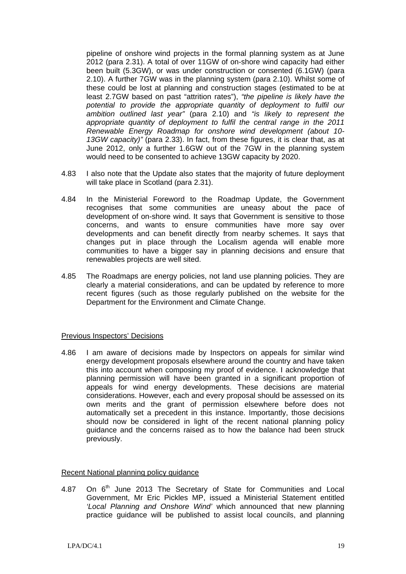pipeline of onshore wind projects in the formal planning system as at June 2012 (para 2.31). A total of over 11GW of on-shore wind capacity had either been built (5.3GW), or was under construction or consented (6.1GW) (para 2.10). A further 7GW was in the planning system (para 2.10). Whilst some of these could be lost at planning and construction stages (estimated to be at least 2.7GW based on past "attrition rates"), *"the pipeline is likely have the potential to provide the appropriate quantity of deployment to fulfil our ambition outlined last year"* (para 2.10) and *"is likely to represent the appropriate quantity of deployment to fulfil the central range in the 2011 Renewable Energy Roadmap for onshore wind development (about 10- 13GW capacity)"* (para 2.33). In fact, from these figures, it is clear that, as at June 2012, only a further 1.6GW out of the 7GW in the planning system would need to be consented to achieve 13GW capacity by 2020.

- 4.83 I also note that the Update also states that the majority of future deployment will take place in Scotland (para 2.31).
- 4.84 In the Ministerial Foreword to the Roadmap Update, the Government recognises that some communities are uneasy about the pace of development of on-shore wind. It says that Government is sensitive to those concerns, and wants to ensure communities have more say over developments and can benefit directly from nearby schemes. It says that changes put in place through the Localism agenda will enable more communities to have a bigger say in planning decisions and ensure that renewables projects are well sited.
- 4.85 The Roadmaps are energy policies, not land use planning policies. They are clearly a material considerations, and can be updated by reference to more recent figures (such as those regularly published on the website for the Department for the Environment and Climate Change.

#### Previous Inspectors' Decisions

4.86 I am aware of decisions made by Inspectors on appeals for similar wind energy development proposals elsewhere around the country and have taken this into account when composing my proof of evidence. I acknowledge that planning permission will have been granted in a significant proportion of appeals for wind energy developments. These decisions are material considerations. However, each and every proposal should be assessed on its own merits and the grant of permission elsewhere before does not automatically set a precedent in this instance. Importantly, those decisions should now be considered in light of the recent national planning policy guidance and the concerns raised as to how the balance had been struck previously.

#### Recent National planning policy guidance

4.87 On 6<sup>th</sup> June 2013 The Secretary of State for Communities and Local Government, Mr Eric Pickles MP, issued a Ministerial Statement entitled *'Local Planning and Onshore Wind'* which announced that new planning practice guidance will be published to assist local councils, and planning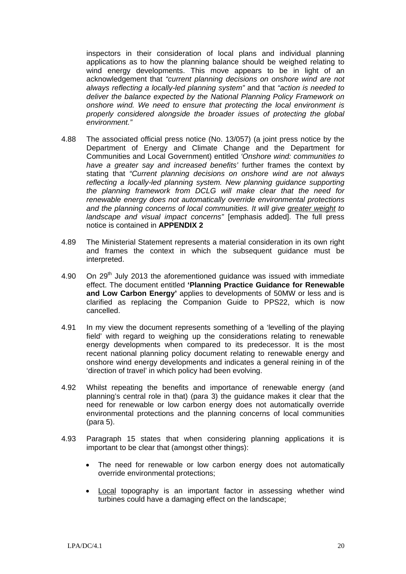inspectors in their consideration of local plans and individual planning applications as to how the planning balance should be weighed relating to wind energy developments. This move appears to be in light of an acknowledgement that *"current planning decisions on onshore wind are not always reflecting a locally-led planning system"* and that *"action is needed to deliver the balance expected by the National Planning Policy Framework on onshore wind. We need to ensure that protecting the local environment is properly considered alongside the broader issues of protecting the global environment."*

- 4.88 The associated official press notice (No. 13/057) (a joint press notice by the Department of Energy and Climate Change and the Department for Communities and Local Government) entitled *'Onshore wind: communities to have a greater say and increased benefits'* further frames the context by stating that *"Current planning decisions on onshore wind are not always*  reflecting a locally-led planning system. New planning guidance supporting *the planning framework from DCLG will make clear that the need for renewable energy does not automatically override environmental protections and the planning concerns of local communities. It will give greater weight to landscape and visual impact concerns"* [emphasis added]. The full press notice is contained in **APPENDIX 2**
- 4.89 The Ministerial Statement represents a material consideration in its own right and frames the context in which the subsequent guidance must be interpreted.
- 4.90 On 29<sup>th</sup> July 2013 the aforementioned guidance was issued with immediate effect. The document entitled **'Planning Practice Guidance for Renewable and Low Carbon Energy'** applies to developments of 50MW or less and is clarified as replacing the Companion Guide to PPS22, which is now cancelled.
- 4.91 In my view the document represents something of a 'levelling of the playing field' with regard to weighing up the considerations relating to renewable energy developments when compared to its predecessor. It is the most recent national planning policy document relating to renewable energy and onshore wind energy developments and indicates a general reining in of the 'direction of travel' in which policy had been evolving.
- 4.92 Whilst repeating the benefits and importance of renewable energy (and planning's central role in that) (para 3) the guidance makes it clear that the need for renewable or low carbon energy does not automatically override environmental protections and the planning concerns of local communities (para 5).
- 4.93 Paragraph 15 states that when considering planning applications it is important to be clear that (amongst other things):
	- The need for renewable or low carbon energy does not automatically override environmental protections;
	- Local topography is an important factor in assessing whether wind turbines could have a damaging effect on the landscape;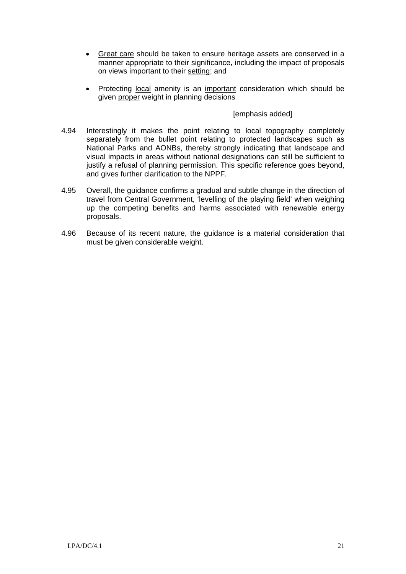- Great care should be taken to ensure heritage assets are conserved in a manner appropriate to their significance, including the impact of proposals on views important to their setting; and
- Protecting local amenity is an important consideration which should be given proper weight in planning decisions

## [emphasis added]

- 4.94 Interestingly it makes the point relating to local topography completely separately from the bullet point relating to protected landscapes such as National Parks and AONBs, thereby strongly indicating that landscape and visual impacts in areas without national designations can still be sufficient to justify a refusal of planning permission. This specific reference goes beyond, and gives further clarification to the NPPF.
- 4.95 Overall, the guidance confirms a gradual and subtle change in the direction of travel from Central Government, 'levelling of the playing field' when weighing up the competing benefits and harms associated with renewable energy proposals.
- 4.96 Because of its recent nature, the guidance is a material consideration that must be given considerable weight.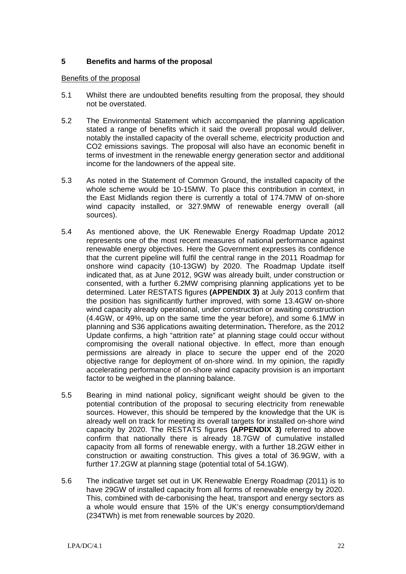# **5 Benefits and harms of the proposal**

#### Benefits of the proposal

- 5.1 Whilst there are undoubted benefits resulting from the proposal, they should not be overstated.
- 5.2 The Environmental Statement which accompanied the planning application stated a range of benefits which it said the overall proposal would deliver, notably the installed capacity of the overall scheme, electricity production and CO2 emissions savings. The proposal will also have an economic benefit in terms of investment in the renewable energy generation sector and additional income for the landowners of the appeal site.
- 5.3 As noted in the Statement of Common Ground, the installed capacity of the whole scheme would be 10-15MW. To place this contribution in context, in the East Midlands region there is currently a total of 174.7MW of on-shore wind capacity installed, or 327.9MW of renewable energy overall (all sources).
- 5.4 As mentioned above, the UK Renewable Energy Roadmap Update 2012 represents one of the most recent measures of national performance against renewable energy objectives. Here the Government expresses its confidence that the current pipeline will fulfil the central range in the 2011 Roadmap for onshore wind capacity (10-13GW) by 2020. The Roadmap Update itself indicated that, as at June 2012, 9GW was already built, under construction or consented, with a further 6.2MW comprising planning applications yet to be determined. Later RESTATS figures **(APPENDIX 3)** at July 2013 confirm that the position has significantly further improved, with some 13.4GW on-shore wind capacity already operational, under construction or awaiting construction (4.4GW, or 49%, up on the same time the year before), and some 6.1MW in planning and S36 applications awaiting determination**.** Therefore, as the 2012 Update confirms, a high "attrition rate" at planning stage could occur without compromising the overall national objective. In effect, more than enough permissions are already in place to secure the upper end of the 2020 objective range for deployment of on-shore wind. In my opinion, the rapidly accelerating performance of on-shore wind capacity provision is an important factor to be weighed in the planning balance.
- 5.5 Bearing in mind national policy, significant weight should be given to the potential contribution of the proposal to securing electricity from renewable sources. However, this should be tempered by the knowledge that the UK is already well on track for meeting its overall targets for installed on-shore wind capacity by 2020. The RESTATS figures **(APPENDIX 3)** referred to above confirm that nationally there is already 18.7GW of cumulative installed capacity from all forms of renewable energy, with a further 18.2GW either in construction or awaiting construction. This gives a total of 36.9GW, with a further 17.2GW at planning stage (potential total of 54.1GW).
- 5.6 The indicative target set out in UK Renewable Energy Roadmap (2011) is to have 29GW of installed capacity from all forms of renewable energy by 2020. This, combined with de-carbonising the heat, transport and energy sectors as a whole would ensure that 15% of the UK's energy consumption/demand (234TWh) is met from renewable sources by 2020.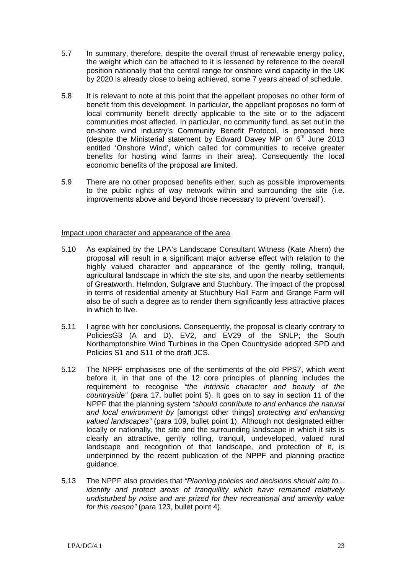- 5.7 In summary, therefore, despite the overall thrust of renewable energy policy, the weight which can be attached to it is lessened by reference to the overall position nationally that the central range for onshore wind capacity in the UK by 2020 is already close to being achieved, some 7 years ahead of schedule.
- 5.8 It is relevant to note at this point that the appellant proposes no other form of benefit from this development. In particular, the appellant proposes no form of local community benefit directly applicable to the site or to the adjacent communities most affected. In particular, no community fund, as set out in the on-shore wind industry's Community Benefit Protocol, is proposed here (despite the Ministerial statement by Edward Davey MP on  $6<sup>th</sup>$  June 2013 entitled 'Onshore Wind', which called for communities to receive greater benefits for hosting wind farms in their area). Consequently the local economic benefits of the proposal are limited.
- 5.9 There are no other proposed benefits either, such as possible improvements to the public rights of way network within and surrounding the site (i.e. improvements above and beyond those necessary to prevent 'oversail').

#### Impact upon character and appearance of the area

- 5.10 As explained by the LPA's Landscape Consultant Witness (Kate Ahern) the proposal will result in a significant major adverse effect with relation to the highly valued character and appearance of the gently rolling, tranquil, agricultural landscape in which the site sits, and upon the nearby settlements of Greatworth, Helmdon, Sulgrave and Stuchbury. The impact of the proposal in terms of residential amenity at Stuchbury Hall Farm and Grange Farm will also be of such a degree as to render them significantly less attractive places in which to live.
- 5.11 I agree with her conclusions. Consequently, the proposal is clearly contrary to PoliciesG3 (A and D), EV2, and EV29 of the SNLP; the South Northamptonshire Wind Turbines in the Open Countryside adopted SPD and Policies S1 and S11 of the draft JCS.
- 5.12 The NPPF emphasises one of the sentiments of the old PPS7, which went before it, in that one of the 12 core principles of planning includes the requirement to recognise *"the intrinsic character and beauty of the countryside"* (para 17, bullet point 5). It goes on to say in section 11 of the NPPF that the planning system *"should contribute to and enhance the natural and local environment by* [amongst other things] *protecting and enhancing valued landscapes"* (para 109, bullet point 1). Although not designated either locally or nationally, the site and the surrounding landscape in which it sits is clearly an attractive, gently rolling, tranquil, undeveloped, valued rural landscape and recognition of that landscape, and protection of it, is underpinned by the recent publication of the NPPF and planning practice guidance.
- 5.13 The NPPF also provides that *"Planning policies and decisions should aim to... identify and protect areas of tranquillity which have remained relatively undisturbed by noise and are prized for their recreational and amenity value for this reason"* (para 123, bullet point 4).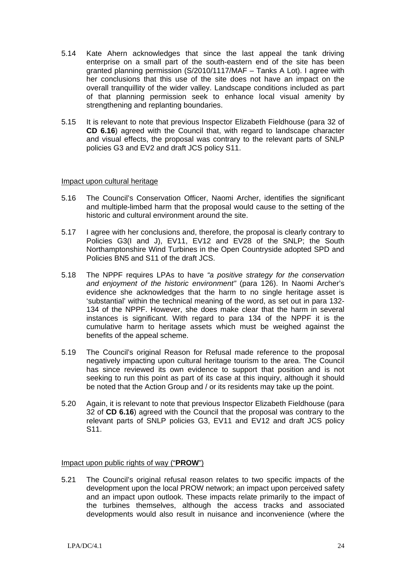- 5.14 Kate Ahern acknowledges that since the last appeal the tank driving enterprise on a small part of the south-eastern end of the site has been granted planning permission (S/2010/1117/MAF – Tanks A Lot). I agree with her conclusions that this use of the site does not have an impact on the overall tranquillity of the wider valley. Landscape conditions included as part of that planning permission seek to enhance local visual amenity by strengthening and replanting boundaries.
- 5.15 It is relevant to note that previous Inspector Elizabeth Fieldhouse (para 32 of **CD 6.16**) agreed with the Council that, with regard to landscape character and visual effects, the proposal was contrary to the relevant parts of SNLP policies G3 and EV2 and draft JCS policy S11.

#### Impact upon cultural heritage

- 5.16 The Council's Conservation Officer, Naomi Archer, identifies the significant and multiple-limbed harm that the proposal would cause to the setting of the historic and cultural environment around the site.
- 5.17 I agree with her conclusions and, therefore, the proposal is clearly contrary to Policies G3(I and J), EV11, EV12 and EV28 of the SNLP; the South Northamptonshire Wind Turbines in the Open Countryside adopted SPD and Policies BN5 and S11 of the draft JCS.
- 5.18 The NPPF requires LPAs to have *"a positive strategy for the conservation and enjoyment of the historic environment"* (para 126). In Naomi Archer's evidence she acknowledges that the harm to no single heritage asset is 'substantial' within the technical meaning of the word, as set out in para 132- 134 of the NPPF. However, she does make clear that the harm in several instances is significant. With regard to para 134 of the NPPF it is the cumulative harm to heritage assets which must be weighed against the benefits of the appeal scheme.
- 5.19 The Council's original Reason for Refusal made reference to the proposal negatively impacting upon cultural heritage tourism to the area. The Council has since reviewed its own evidence to support that position and is not seeking to run this point as part of its case at this inquiry, although it should be noted that the Action Group and / or its residents may take up the point.
- 5.20 Again, it is relevant to note that previous Inspector Elizabeth Fieldhouse (para 32 of **CD 6.16**) agreed with the Council that the proposal was contrary to the relevant parts of SNLP policies G3, EV11 and EV12 and draft JCS policy S11.

#### Impact upon public rights of way ("**PROW**")

5.21 The Council's original refusal reason relates to two specific impacts of the development upon the local PROW network; an impact upon perceived safety and an impact upon outlook. These impacts relate primarily to the impact of the turbines themselves, although the access tracks and associated developments would also result in nuisance and inconvenience (where the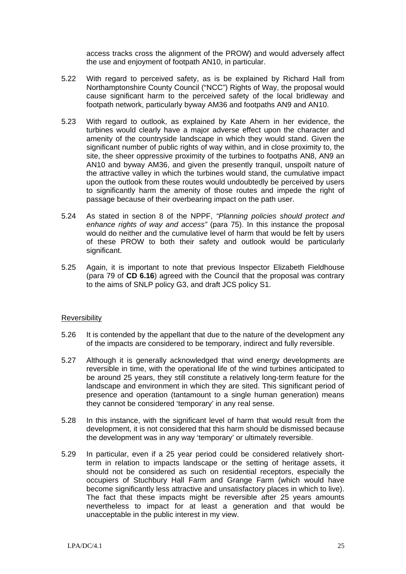access tracks cross the alignment of the PROW) and would adversely affect the use and enjoyment of footpath AN10, in particular.

- 5.22 With regard to perceived safety, as is be explained by Richard Hall from Northamptonshire County Council ("NCC") Rights of Way, the proposal would cause significant harm to the perceived safety of the local bridleway and footpath network, particularly byway AM36 and footpaths AN9 and AN10.
- 5.23 With regard to outlook, as explained by Kate Ahern in her evidence, the turbines would clearly have a major adverse effect upon the character and amenity of the countryside landscape in which they would stand. Given the significant number of public rights of way within, and in close proximity to, the site, the sheer oppressive proximity of the turbines to footpaths AN8, AN9 an AN10 and byway AM36, and given the presently tranquil, unspoilt nature of the attractive valley in which the turbines would stand, the cumulative impact upon the outlook from these routes would undoubtedly be perceived by users to significantly harm the amenity of those routes and impede the right of passage because of their overbearing impact on the path user.
- 5.24 As stated in section 8 of the NPPF, *"Planning policies should protect and enhance rights of way and access"* (para 75). In this instance the proposal would do neither and the cumulative level of harm that would be felt by users of these PROW to both their safety and outlook would be particularly significant.
- 5.25 Again, it is important to note that previous Inspector Elizabeth Fieldhouse (para 79 of **CD 6.16**) agreed with the Council that the proposal was contrary to the aims of SNLP policy G3, and draft JCS policy S1.

#### Reversibility

- 5.26 It is contended by the appellant that due to the nature of the development any of the impacts are considered to be temporary, indirect and fully reversible.
- 5.27 Although it is generally acknowledged that wind energy developments are reversible in time, with the operational life of the wind turbines anticipated to be around 25 years, they still constitute a relatively long-term feature for the landscape and environment in which they are sited. This significant period of presence and operation (tantamount to a single human generation) means they cannot be considered 'temporary' in any real sense.
- 5.28 In this instance, with the significant level of harm that would result from the development, it is not considered that this harm should be dismissed because the development was in any way 'temporary' or ultimately reversible.
- 5.29 In particular, even if a 25 year period could be considered relatively shortterm in relation to impacts landscape or the setting of heritage assets, it should not be considered as such on residential receptors, especially the occupiers of Stuchbury Hall Farm and Grange Farm (which would have become significantly less attractive and unsatisfactory places in which to live). The fact that these impacts might be reversible after 25 years amounts nevertheless to impact for at least a generation and that would be unacceptable in the public interest in my view.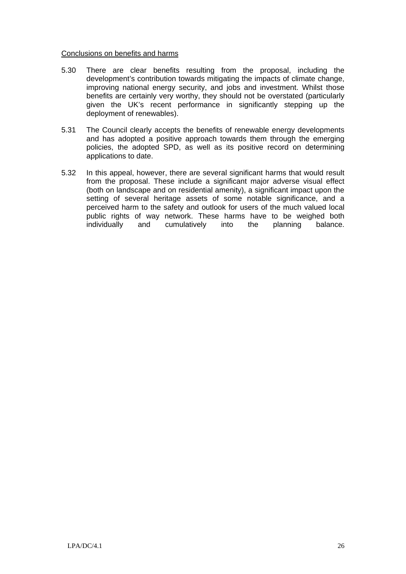#### Conclusions on benefits and harms

- 5.30 There are clear benefits resulting from the proposal, including the development's contribution towards mitigating the impacts of climate change, improving national energy security, and jobs and investment. Whilst those benefits are certainly very worthy, they should not be overstated (particularly given the UK's recent performance in significantly stepping up the deployment of renewables).
- 5.31 The Council clearly accepts the benefits of renewable energy developments and has adopted a positive approach towards them through the emerging policies, the adopted SPD, as well as its positive record on determining applications to date.
- 5.32 In this appeal, however, there are several significant harms that would result from the proposal. These include a significant major adverse visual effect (both on landscape and on residential amenity), a significant impact upon the setting of several heritage assets of some notable significance, and a perceived harm to the safety and outlook for users of the much valued local public rights of way network. These harms have to be weighed both individually and cumulatively into the planning balance.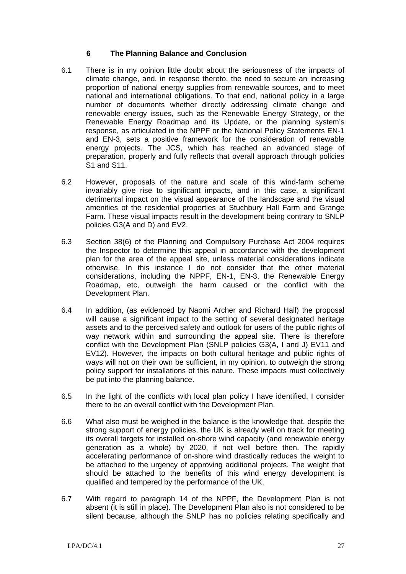## **6 The Planning Balance and Conclusion**

- 6.1 There is in my opinion little doubt about the seriousness of the impacts of climate change, and, in response thereto, the need to secure an increasing proportion of national energy supplies from renewable sources, and to meet national and international obligations. To that end, national policy in a large number of documents whether directly addressing climate change and renewable energy issues, such as the Renewable Energy Strategy, or the Renewable Energy Roadmap and its Update, or the planning system's response, as articulated in the NPPF or the National Policy Statements EN-1 and EN-3, sets a positive framework for the consideration of renewable energy projects. The JCS, which has reached an advanced stage of preparation, properly and fully reflects that overall approach through policies S1 and S11.
- 6.2 However, proposals of the nature and scale of this wind-farm scheme invariably give rise to significant impacts, and in this case, a significant detrimental impact on the visual appearance of the landscape and the visual amenities of the residential properties at Stuchbury Hall Farm and Grange Farm. These visual impacts result in the development being contrary to SNLP policies G3(A and D) and EV2.
- 6.3 Section 38(6) of the Planning and Compulsory Purchase Act 2004 requires the Inspector to determine this appeal in accordance with the development plan for the area of the appeal site, unless material considerations indicate otherwise. In this instance I do not consider that the other material considerations, including the NPPF, EN-1, EN-3, the Renewable Energy Roadmap, etc, outweigh the harm caused or the conflict with the Development Plan.
- 6.4 In addition, (as evidenced by Naomi Archer and Richard Hall) the proposal will cause a significant impact to the setting of several designated heritage assets and to the perceived safety and outlook for users of the public rights of way network within and surrounding the appeal site. There is therefore conflict with the Development Plan (SNLP policies G3(A, I and J) EV11 and EV12). However, the impacts on both cultural heritage and public rights of ways will not on their own be sufficient, in my opinion, to outweigh the strong policy support for installations of this nature. These impacts must collectively be put into the planning balance.
- 6.5 In the light of the conflicts with local plan policy I have identified, I consider there to be an overall conflict with the Development Plan.
- 6.6 What also must be weighed in the balance is the knowledge that, despite the strong support of energy policies, the UK is already well on track for meeting its overall targets for installed on-shore wind capacity (and renewable energy generation as a whole) by 2020, if not well before then. The rapidly accelerating performance of on-shore wind drastically reduces the weight to be attached to the urgency of approving additional projects. The weight that should be attached to the benefits of this wind energy development is qualified and tempered by the performance of the UK.
- 6.7 With regard to paragraph 14 of the NPPF, the Development Plan is not absent (it is still in place). The Development Plan also is not considered to be silent because, although the SNLP has no policies relating specifically and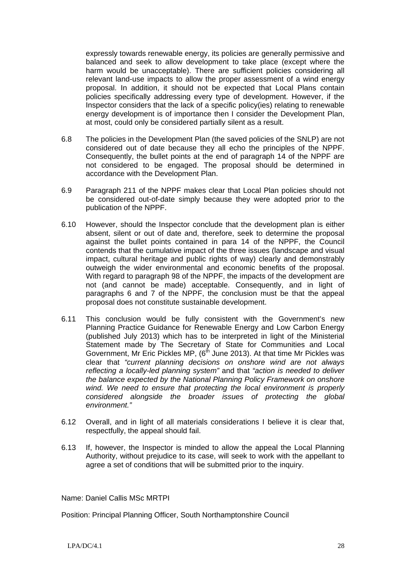expressly towards renewable energy, its policies are generally permissive and balanced and seek to allow development to take place (except where the harm would be unacceptable). There are sufficient policies considering all relevant land-use impacts to allow the proper assessment of a wind energy proposal. In addition, it should not be expected that Local Plans contain policies specifically addressing every type of development. However, if the Inspector considers that the lack of a specific policy(ies) relating to renewable energy development is of importance then I consider the Development Plan, at most, could only be considered partially silent as a result.

- 6.8 The policies in the Development Plan (the saved policies of the SNLP) are not considered out of date because they all echo the principles of the NPPF. Consequently, the bullet points at the end of paragraph 14 of the NPPF are not considered to be engaged. The proposal should be determined in accordance with the Development Plan.
- 6.9 Paragraph 211 of the NPPF makes clear that Local Plan policies should not be considered out-of-date simply because they were adopted prior to the publication of the NPPF.
- 6.10 However, should the Inspector conclude that the development plan is either absent, silent or out of date and, therefore, seek to determine the proposal against the bullet points contained in para 14 of the NPPF, the Council contends that the cumulative impact of the three issues (landscape and visual impact, cultural heritage and public rights of way) clearly and demonstrably outweigh the wider environmental and economic benefits of the proposal. With regard to paragraph 98 of the NPPF, the impacts of the development are not (and cannot be made) acceptable. Consequently, and in light of paragraphs 6 and 7 of the NPPF, the conclusion must be that the appeal proposal does not constitute sustainable development.
- 6.11 This conclusion would be fully consistent with the Government's new Planning Practice Guidance for Renewable Energy and Low Carbon Energy (published July 2013) which has to be interpreted in light of the Ministerial Statement made by The Secretary of State for Communities and Local Government, Mr Eric Pickles MP,  $6<sup>th</sup>$  June 2013). At that time Mr Pickles was clear that *"current planning decisions on onshore wind are not always reflecting a locally-led planning system"* and that *"action is needed to deliver the balance expected by the National Planning Policy Framework on onshore*  wind. We need to ensure that protecting the local environment is properly *considered alongside the broader issues of protecting the global environment."*
- 6.12 Overall, and in light of all materials considerations I believe it is clear that, respectfully, the appeal should fail.
- 6.13 If, however, the Inspector is minded to allow the appeal the Local Planning Authority, without prejudice to its case, will seek to work with the appellant to agree a set of conditions that will be submitted prior to the inquiry.

Name: Daniel Callis MSc MRTPI

Position: Principal Planning Officer, South Northamptonshire Council